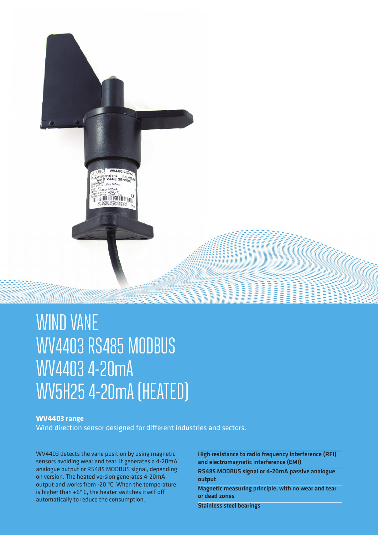

# WIND VANE WV4403 RS485 MODBUS WV4403 4-20mA WV5H25 4-20mA (HEATED)

## **WV4403 range**

Wind direction sensor designed for different industries and sectors.

WV4403 detects the vane position by using magnetic sensors avoiding wear and tear. It generates a 4-20mA analogue output or RS485 MODBUS signal, depending on version. The heated version generates 4-20mA output and works from -20 ºC. When the temperature is higher than +6º C, the heater switches itself off automatically to reduce the consumption.

High resistance to radio frequency interference (RFI) and electromagnetic interference (EMI)

RS485 MODBUS signal or 4-20mA passive analogue output

Magnetic measuring principle, with no wear and tear or dead zones

Stainless steel bearings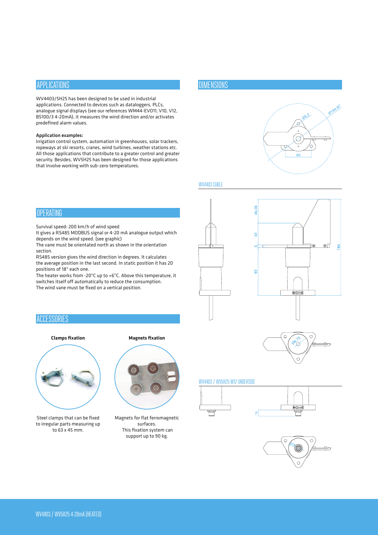## APPLICATIONS

WV4403/5H25 has been designed to be used in industrial applications. Connected to devices such as dataloggers, PLCs, analogue signal displays (see our references WM44-EVO11, V10, V12, BS100/3 4-20mA), it measures the wind direction and/or activates predefined alarm values.

#### Application examples:

Irrigation control system, automation in greenhouses, solar trackers, ropeways at ski resorts, cranes, wind turbines, weather stations etc. All those applications that contribute to a greater control and greater security. Besides, WV5H25 has been designed for those applications that involve working with sub-zero temperatures.

## **OPERATING**

Survival speed: 200 km/h of wind speed

It gives a RS485 MODBUS signal or 4-20 mA analogue output which depends on the wind speed. (see graphic)

The vane must be orientated north as shown in the orientation section.

RS485 version gives the wind direction in degrees. It calculates the average position in the last second. In static position it has 20 positions of 18º each one.

The heater works from -20ºC up to +6ºC. Above this temperature, it switches itself off automatically to reduce the consumption. The wind vane must be fixed on a vertical position.

## **ACCESSORIES**

#### **Clamps fixation Magnets fixation**



Steel clamps that can be fixed to irregular parts measuring up to 63 x 45 mm.

Magnets for flat ferromagnetic surfaces. This fixation system can support up to 90 kg.

## **DIMENSIONS**



## WV4403 CABLE







#### WV4403 / WV5H25 M12 UNDERSIDE





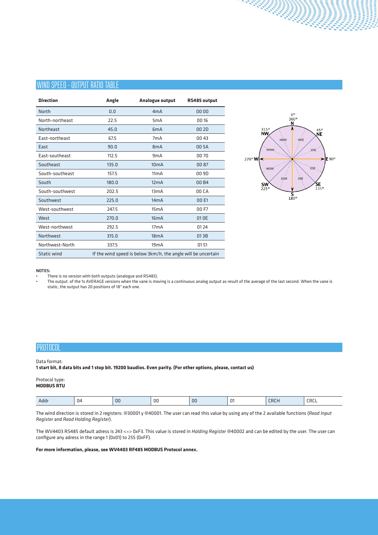## WIND SPEED - OUTPUT RATIO TABLE

| <b>Direction</b> | Angle | Analogue output                                               | RS485 output |
|------------------|-------|---------------------------------------------------------------|--------------|
| North            | 0.0   | 4mA                                                           | 00 00        |
| North-northeast  | 22.5  | 5 <sub>m</sub> A                                              | 00 16        |
| Northeast        | 45.0  | 6 <sub>m</sub> A                                              | 00 2D        |
| East-northeast   | 67.5  | 7 <sub>m</sub> A                                              | 00 43        |
| East             | 90.0  | 8 <sub>m</sub> A                                              | 00 5A        |
| East-southeast   | 112.5 | 9 <sub>m</sub> A                                              | 0070         |
| Southeast        | 135.0 | 10 <sub>m</sub> A                                             | 00 87        |
| South-southeast  | 157.5 | 11mA                                                          | 00 9D        |
| South            | 180.0 | 12mA                                                          | 00B4         |
| South-southwest  | 202.5 | 13mA                                                          | 00 CA        |
| Southwest        | 225.0 | 14mA                                                          | 00 E1        |
| West-southwest   | 247.5 | 15mA                                                          | 00 F7        |
| West             | 270.0 | 16mA                                                          | 01 OE        |
| West-northwest   | 292.5 | 17 <sub>m</sub> A                                             | 01 24        |
| Northwest        | 315.0 | 18mA                                                          | 01 3 B       |
| Northwest-North  | 337.5 | 19mA                                                          | 0151         |
| Static wind      |       | If the wind speed is below 3km/h, the angle will be uncertain |              |



#### NOTES:

• There is no version with both outputs (analogue and RS485).

• The output of the 1s AVERAGE versions when the vane is moving is a continuous analog output as result of the average of the last second. When the vane is static, the output has 20 positions of 18º each one.

## PROTOCOL

#### Data format:

**1 start bit, 8 data bits and 1 stop bit. 19200 baudios. Even parity. (For other options, please, contact us)**

## Protocol type:

**MODBUS RTU**

|--|

The wind direction is stored in 2 registers: @30001 y @40001. The user can read this value by using any of the 2 available functions (*Read Input Register* and *Read Holding Register*).

The WV4403 RS485 default adress is 243 <=> 0xF3. This value is stored in *Holding Register* @40002 and can be edited by the user. The user can configure any adress in the range 1 (0x01) to 255 (0xFF).

#### **For more information, please, see WV4403 RF485 MODBUS Protocol annex.**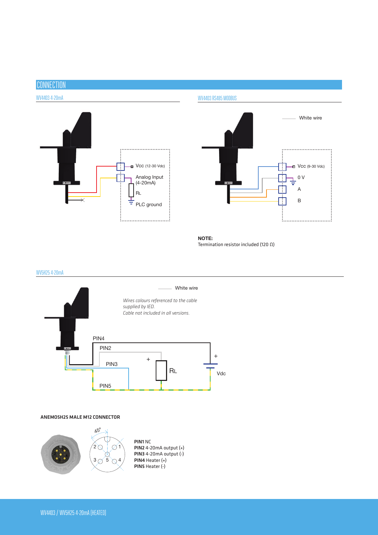# **CONNECTION**

## WV4403 4-20mA



White wire  $\blacksquare$  Vcc (9-30 Vdc) Ξ 0 V A B <u>:</u><br>:..................................

NOTE: Termination resistor included (120 Ω)

WV4403 RS485 MODBUS

## WV5H25 4-20mA



#### ANEMO5H25 MALE M12 CONNECTOR

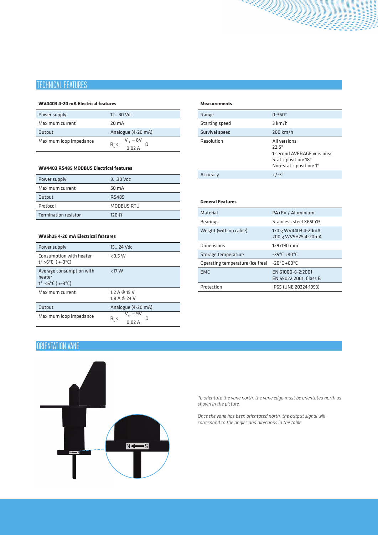# TECHNICAL FEATURES

#### **WV4403 4-20 mA Electrical features**

| Power supply           | $1230$ Vdc                                                                   |
|------------------------|------------------------------------------------------------------------------|
| Maximum current        | $20 \text{ mA}$                                                              |
| Output                 | Analogue (4-20 mA)                                                           |
| Maximum loop impedance | $V_{cc}$ – 8V<br>$\overline{n}$ $\overline{n}$ $\overline{n}$ $\overline{n}$ |

## **WV4403 RS485 MODBUS Electrical features**

| Power supply                | $930$ Vdc        |
|-----------------------------|------------------|
| Maximum current             | 50 mA            |
| Output                      | RS485            |
| Protocol                    | MODBUS RTU       |
| <b>Termination resistor</b> | 120 <sub>0</sub> |

## **WV5h25 4-20 mA Electrical features**

| Power supply                                                            | 1524 Vdc                     |
|-------------------------------------------------------------------------|------------------------------|
| Consumption with heater<br>$t^a > 6^{\circ}C$ (+-3 $^{\circ}C$ )        | < 0.5 W                      |
| Average consumption with<br>heater<br>$t^a < 6^{\circ}C (+-3^{\circ}C)$ | $<$ 17 W                     |
| Maximum current                                                         | 1.2 A @ 15 V<br>1.8 A @ 24 V |
| Output                                                                  | Analogue (4-20 mA)           |
| Maximum loop impedance                                                  | $V_{cc}$ – 9V                |

#### **Measurements**

| Range          | $0 - 360^\circ$                                                                                                  |
|----------------|------------------------------------------------------------------------------------------------------------------|
| Starting speed | 3 km/h                                                                                                           |
| Survival speed | $200$ km/h                                                                                                       |
| Resolution     | All versions:<br>$72.5^{\circ}$<br>1 second AVERAGE versions:<br>Static position: 18°<br>Non-static position: 1° |
| Accuracy       | $+/-3^{\circ}$                                                                                                   |

## **General Features** Material PA+FV / Aluminium Bearings Stainless steel X65Cr13 Weight (with no cable) 170 g WV4403 4-20mA 200 g WV5H25 4-20mA Dimensions 129x190 mm Storage temperature -35°C +80°C Operating temperature (ice free) -20ºC +60ºC EMC EN 61000-6-2:2001 EN 55022:2001, Class B Protection IP65 (UNE 20324:1993)

## ORIENTATION VANE



*To orientate the vane north, the vane edge must be orientated north as shown in the picture.*

*Once the vane has been orientated north, the output signal will correspond to the angles and directions in the table.*